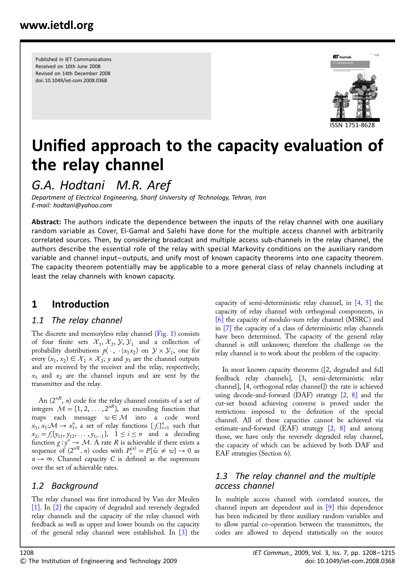Published in IET Communications Received on 10th June 2008 Revised on 14th December 2008 doi: 10.1049/iet-com.2008.0368



# Unified approach to the capacity evaluation of the relay channel

G.A. Hodtani M.R. Aref

Department of Electrical Engineering, Sharif University of Technology, Tehran, Iran E-mail: hodtani@yahoo.com

Abstract: The authors indicate the dependence between the inputs of the relay channel with one auxiliary random variable as Cover, El-Gamal and Salehi have done for the multiple access channel with arbitrarily correlated sources. Then, by considering broadcast and multiple access sub-channels in the relay channel, the authors describe the essential role of the relay with special Markovity conditions on the auxiliary random variable and channel input– outputs, and unify most of known capacity theorems into one capacity theorem. The capacity theorem potentially may be applicable to a more general class of relay channels including at least the relay channels with known capacity.

## 1 Introduction

#### 1.1 The relay channel

The discrete and memoryless relay channel (Fig. 1) consists of four finite sets  $\mathcal{X}_1$ ,  $\mathcal{X}_2$ ,  $\mathcal{Y}, \mathcal{Y}_1$  and a collection of probability distributions  $p(\cdot, \cdot | x_1 x_2)$  on  $\mathcal{Y} \times \mathcal{Y}_1$ , one for every  $(x_1, x_2) \in \mathcal{X}_1 \times \mathcal{X}_2$ ; y and  $y_1$  are the channel outputs and are received by the receiver and the relay, respectively;  $x_1$  and  $x_2$  are the channel inputs and are sent by the transmitter and the relay.

An  $(2^{nR}, n)$  code for the relay channel consists of a set of integers  $M = \{1, 2, ..., 2^{nR}\}\text{,}$  an encoding function that maps each message  $w \in \mathcal{M}$  into a code word  $x_1, x_1: \mathcal{M} \to x_1^n$ , a set of relay functions  $\{f_i\}_{i=1}^n$  such that  $x_{2i} = f_i \{y_{11}, y_{12}, \dots, y_{1i-1}\}, \quad 1 \le i \le n$  and a decoding function  $g: y^n \to M$ . A rate R is achievable if there exists a sequence of  $(2^{nR}, n)$  codes with  $P_e^{(n)} = P\{\hat{w} \neq w\} \to 0$  as  $n \to \infty$ . Channel capacity C is defined as the supremum over the set of achievable rates.

## 1.2 Background

The relay channel was first introduced by Van der Meulen [1]. In [2] the capacity of degraded and reversely degraded relay channels and the capacity of the relay channel with feedback as well as upper and lower bounds on the capacity of the general relay channel were established. In [3] the capacity of semi-deterministic relay channel, in [4, 5] the capacity of relay channel with orthogonal components, in [6] the capacity of modulo-sum relay channel (MSRC) and in [7] the capacity of a class of deterministic relay channels have been determined. The capacity of the general relay channel is still unknown; therefore the challenge on the relay channel is to work about the problem of the capacity.

In most known capacity theorems ([2, degraded and full feedback relay channels], [3, semi-deterministic relay channel], [4, orthogonal relay channel]) the rate is achieved using decode-and-forward (DAF) strategy  $\left[2, 8\right]$  and the cut-set bound achieving converse is proved under the restrictions imposed to the definition of the special channel. All of these capacities cannot be achieved via estimate-and-forward (EAF) strategy [2, 8] and among those, we have only the reversely degraded relay channel, the capacity of which can be achieved by both DAF and EAF strategies (Section 6).

## 1.3 The relay channel and the multiple access channel

In multiple access channel with correlated sources, the channel inputs are dependent and in [9] this dependence has been indicated by three auxiliary random variables and to allow partial co-operation between the transmitters, the codes are allowed to depend statistically on the source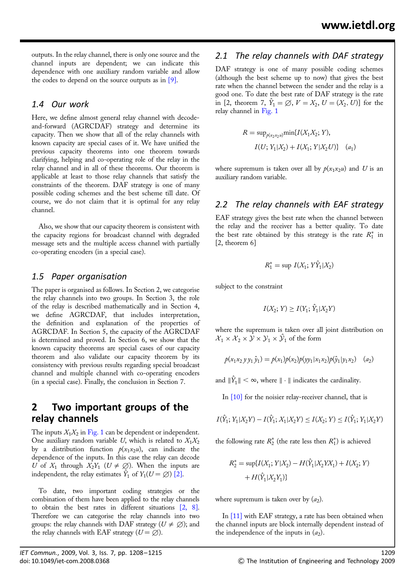outputs. In the relay channel, there is only one source and the channel inputs are dependent; we can indicate this dependence with one auxiliary random variable and allow the codes to depend on the source outputs as in  $[9]$ .

#### 1.4 Our work

Here, we define almost general relay channel with decodeand-forward (AGRCDAF) strategy and determine its capacity. Then we show that all of the relay channels with known capacity are special cases of it. We have unified the previous capacity theorems into one theorem towards clarifying, helping and co-operating role of the relay in the relay channel and in all of these theorems. Our theorem is applicable at least to those relay channels that satisfy the constraints of the theorem. DAF strategy is one of many possible coding schemes and the best scheme till date. Of course, we do not claim that it is optimal for any relay channel.

Also, we show that our capacity theorem is consistent with the capacity regions for broadcast channel with degraded message sets and the multiple access channel with partially co-operating encoders (in a special case).

#### 1.5 Paper organisation

The paper is organised as follows. In Section 2, we categorise the relay channels into two groups. In Section 3, the role of the relay is described mathematically and in Section 4, we define AGRCDAF, that includes interpretation, the definition and explanation of the properties of AGRCDAF. In Section 5, the capacity of the AGRCDAF is determined and proved. In Section 6, we show that the known capacity theorems are special cases of our capacity theorem and also validate our capacity theorem by its consistency with previous results regarding special broadcast channel and multiple channel with co-operating encoders (in a special case). Finally, the conclusion in Section 7.

## 2 Two important groups of the relay channels

The inputs  $X_1X_2$  in Fig. 1 can be dependent or independent. One auxiliary random variable U, which is related to  $X_1X_2$ by a distribution function  $p(x_1x_2u)$ , can indicate the dependence of the inputs. In this case the relay can decode U of  $X_1$  through  $X_2Y_1$  ( $U \neq \emptyset$ ). When the inputs are independent, the relay estimates  $\hat{Y}_1$  of  $Y_1(U = \varnothing)$  [2].

To date, two important coding strategies or the combination of them have been applied to the relay channels to obtain the best rates in different situations [2, 8]. Therefore we can categorise the relay channels into two groups: the relay channels with DAF strategy ( $U \neq \emptyset$ ); and the relay channels with EAF strategy  $(U = \emptyset)$ .

#### 2.1 The relay channels with DAF strategy

DAF strategy is one of many possible coding schemes (although the best scheme up to now) that gives the best rate when the channel between the sender and the relay is a good one. To date the best rate of DAF strategy is the rate in [2, theorem 7,  $\hat{Y}_1 = \emptyset$ ,  $V = X_2$ ,  $U = (X_2, U)$ ] for the relay channel in Fig. 1

$$
R = \sup_{p(x_2x_2u)} \min\{I(X_1X_2; Y),
$$
  

$$
I(U; Y_1|X_2) + I(X_1; Y|X_2U)\} (a_1)
$$

where supremum is taken over all by  $p(x_1x_2u)$  and U is an auxiliary random variable.

#### 2.2 The relay channels with EAF strategy

EAF strategy gives the best rate when the channel between the relay and the receiver has a better quality. To date the best rate obtained by this strategy is the rate  $R_1^*$  in [2, theorem 6]

$$
R_1^* = \sup I(X_1; Y\hat{Y}_1 | X_2)
$$

subject to the constraint

$$
I(X_2; Y) \ge I(Y_1; \hat{Y}_1 | X_2 Y)
$$

where the supremum is taken over all joint distribution on  $\mathcal{X}_1 \times \mathcal{X}_2 \times \mathcal{Y} \times \mathcal{Y}_1 \times \mathcal{Y}_1$  of the form

$$
p(x_1x_2 y y_1 \hat{y}_1) = p(x_1)p(x_2)p(yy_1|x_1x_2)p(\hat{y}_1|y_1x_2) \quad (a_2)
$$

and  $\|\hat{Y}_1\| < \infty$ , where  $\|\cdot\|$  indicates the cardinality.

In [10] for the noisier relay-receiver channel, that is

$$
I(\hat{Y}_1; Y_1 | X_2 Y) - I(\hat{Y}_1; X_1 | X_2 Y) \le I(X_2; Y) \le I(\hat{Y}_1; Y_1 | X_2 Y)
$$

the following rate  $R_2^*$  (the rate less then  $R_1^*$ ) is achieved

$$
R_2^* = \sup \{ I(X_1; Y | X_2) - H(\hat{Y}_1 | X_2 Y X_1) + I(X_2; Y) + H(\hat{Y}_1 | X_2 Y_1) \}
$$

where supremum is taken over by  $(a_2)$ .

In [11] with EAF strategy, a rate has been obtained when the channel inputs are block internally dependent instead of the independence of the inputs in  $(a_2)$ .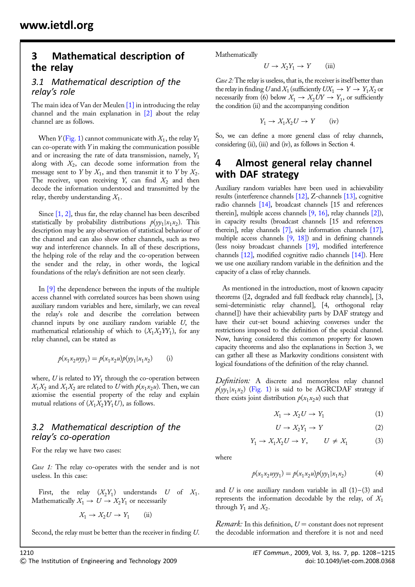## 3 Mathematical description of the relay

#### 3.1 Mathematical description of the relay's role

The main idea of Van der Meulen  $[1]$  in introducing the relay channel and the main explanation in [2] about the relay channel are as follows.

When  $Y$ (Fig. 1) cannot communicate with  $X_1$ , the relay  $Y_1$ can co-operate with Y in making the communication possible and or increasing the rate of data transmission, namely,  $Y_1$ along with  $X_2$ , can decode some information from the message sent to Y by  $X_1$ , and then transmit it to Y by  $X_2$ . The receiver, upon receiving Y, can find  $X_2$  and then decode the information understood and transmitted by the relay, thereby understanding  $X_1$ .

Since [1, 2], thus far, the relay channel has been described statistically by probability distributions  $p(yy_1|x_1x_2)$ . This description may be any observation of statistical behaviour of the channel and can also show other channels, such as two way and interference channels. In all of these descriptions, the helping role of the relay and the co-operation between the sender and the relay, in other words, the logical foundations of the relay's definition are not seen clearly.

In [9] the dependence between the inputs of the multiple access channel with correlated sources has been shown using auxiliary random variables and here, similarly, we can reveal the relay's role and describe the correlation between channel inputs by one auxiliary random variable U, the mathematical relationship of which to  $(X_1X_2YY_1)$ , for any relay channel, can be stated as

$$
p(x_1x_2uyy_1) = p(x_1x_2u)p(yy_1|x_1x_2)
$$
 (i)

where,  $U$  is related to  $YY_1$  through the co-operation between  $X_1X_2$  and  $X_1X_2$  are related to U with  $p(x_1x_2u)$ . Then, we can axiomise the essential property of the relay and explain mutual relations of  $(X_1X_2YY_1U)$ , as follows.

## 3.2 Mathematical description of the relay's co-operation

For the relay we have two cases:

Case 1: The relay co-operates with the sender and is not useless. In this case:

First, the relay  $(X_2Y_1)$  understands U of  $X_1$ . Mathematically  $X_1 \rightarrow U \rightarrow X_2Y_1$  or necessarily

$$
X_1 \to X_2 U \to Y_1 \qquad \text{(ii)}
$$

Second, the relay must be better than the receiver in finding U.

Mathematically

$$
U \to X_2 Y_1 \to Y \qquad \text{(iii)}
$$

Case 2: The relay is useless, that is, the receiver is itself better than the relay in finding U and  $X_1$  (sufficiently  $UX_1 \rightarrow Y \rightarrow Y_1X_2$  or necessarily from (6) below  $X_1 \rightarrow X_2 UY \rightarrow Y_1$ , or sufficiently the condition (ii) and the accompanying condition

$$
Y_1 \to X_1 X_2 U \to Y \qquad (iv)
$$

So, we can define a more general class of relay channels, considering (ii), (iii) and (iv), as follows in Section 4.

## 4 Almost general relay channel with DAF strategy

Auxiliary random variables have been used in achievability results (interference channels [12], Z-channels [13], cognitive radio channels [14], broadcast channels [15 and references therein], multiple access channels [9, 16], relay channels [2]), in capacity results (broadcast channels [15 and references therein], relay channels [7], side information channels [17], multiple access channels [9, 18]) and in defining channels (less noisy broadcast channels [19], modified interference channels [12], modified cognitive radio channels [14]). Here we use one auxiliary random variable in the definition and the capacity of a class of relay channels.

As mentioned in the introduction, most of known capacity theorems ([2, degraded and full feedback relay channels], [3, semi-deterministic relay channel], [4, orthogonal relay channel]) have their achievability parts by DAF strategy and have their cut-set bound achieving converses under the restrictions imposed to the definition of the special channel. Now, having considered this common property for known capacity theorems and also the explanations in Section 3, we can gather all these as Markovity conditions consistent with logical foundations of the definition of the relay channel.

Definition: A discrete and memoryless relay channel  $p(yy_1|x_1x_2)$  (Fig. 1) is said to be AGRCDAF strategy if there exists joint distribution  $p(x_1x_2u)$  such that

$$
X_1 \to X_2 U \to Y_1 \tag{1}
$$

$$
U \to X_2 Y_1 \to Y \tag{2}
$$

$$
Y_1 \to X_1 X_2 U \to Y, \qquad U \neq X_1 \tag{3}
$$

where

$$
p(x_1x_2uyy_1) = p(x_1x_2u)p(yy_1|x_1x_2)
$$
 (4)

and U is one auxiliary random variable in all  $(1)$ – $(3)$  and represents the information decodable by the relay, of  $X_1$ through  $Y_1$  and  $X_2$ .

*Remark:* In this definition,  $U =$  constant does not represent the decodable information and therefore it is not and need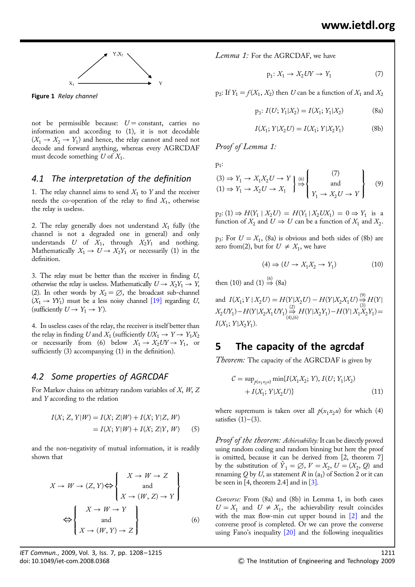

Figure 1 Relay channel

not be permissible because:  $U = constant$ , carries no information and according to (1), it is not decodable  $(X_1 \rightarrow X_2 \rightarrow Y_1)$  and hence, the relay cannot and need not decode and forward anything, whereas every AGRCDAF must decode something  $U$  of  $X_1$ .

#### 4.1 The interpretation of the definition

1. The relay channel aims to send  $X_1$  to Y and the receiver needs the co-operation of the relay to find  $X_1$ , otherwise the relay is useless.

2. The relay generally does not understand  $X_1$  fully (the channel is not a degraded one in general) and only understands  $U$  of  $X_1$ , through  $X_2Y_1$  and nothing. Mathematically  $X_1 \rightarrow U \rightarrow X_2Y_1$  or necessarily (1) in the definition.

3. The relay must be better than the receiver in finding U, otherwise the relay is useless. Mathematically  $U \rightarrow X_2Y_1 \rightarrow Y$ , (2). In other words by  $X_2 = \emptyset$ , the broadcast sub-channel  $(X_1 \rightarrow Y_1)$  must be a less noisy channel [19] regarding U, (sufficiently  $U \rightarrow Y_1 \rightarrow Y$ ).

4. In useless cases of the relay, the receiver is itself better than the relay in finding U and  $X_1$  (sufficiently  $UX_1 \rightarrow Y \rightarrow Y_1X_2$ or necessarily from (6) below  $X_1 \rightarrow X_2 U Y \rightarrow Y_1$ , or sufficiently (3) accompanying (1) in the definition).

## 4.2 Some properties of AGRCDAF

For Markov chains on arbitrary random variables of  $X$ ,  $W$ ,  $Z$ and Y according to the relation

$$
I(X; Z, Y|W) = I(X; Z|W) + I(X; Y|Z, W)
$$
  
=  $I(X; Y|W) + I(X; Z|Y, W)$  (5)

and the non-negativity of mutual information, it is readily shown that

$$
X \to W \to (Z, Y) \Longleftrightarrow \begin{Bmatrix} X \to W \to Z \\ \text{and} \\ X \to (W, Z) \to Y \end{Bmatrix}
$$

$$
\Leftrightarrow \begin{Bmatrix} X \to W \to Y \\ \text{and} \\ X \to (W, Y) \to Z \end{Bmatrix}
$$
(6)

Lemma 1: For the AGRCDAF, we have

$$
p_1: X_1 \to X_2UY \to Y_1 \tag{7}
$$

 $p_2$ : If  $Y_1 = f(X_1, X_2)$  then U can be a function of  $X_1$  and  $X_2$ 

$$
p_3: I(U; Y_1 | X_2) = I(X_1; Y_1 | X_2)
$$
 (8a)

$$
I(X_1; Y | X_2 U) = I(X_1; Y | X_2 Y_1)
$$
 (8b)

Proof of Lemma 1:

p1:

$$
(3) \Rightarrow Y_1 \rightarrow X_1 X_2 U \rightarrow Y
$$
  
\n
$$
(1) \Rightarrow Y_1 \rightarrow X_2 U \rightarrow X_1
$$
  
\n
$$
\begin{cases}\n(7) \\
\Rightarrow \text{and} \\
Y_1 \rightarrow X_2 U \rightarrow Y\n\end{cases}
$$
  
\n(9)

 $p_2$ : (1)  $\Rightarrow$   $H(Y_1 | X_2 U) = H(Y_1 | X_2 U X_1) = 0 \Rightarrow Y_1$  is a function of  $X_2$  and  $U \Rightarrow U$  can be a function of  $X_1$  and  $X_2$ .

p<sub>3</sub>: For  $U = X_1$ , (8a) is obvious and both sides of (8b) are zero from(2), but for  $U \neq X_1$ , we have

$$
(4) \Rightarrow (U \to X_1 X_2 \to Y_1) \tag{10}
$$

then (10) and (1)  $\stackrel{(6)}{\Rightarrow}$  (8a)

and  $I(X_1; Y | X_2U) = H(Y | X_2U) - H(Y | X_2X_1U) \stackrel{(9)}{\rightarrow}$  $\Rightarrow^{\sim}_{(3)} H(Y)$  $X_2 U Y_1$ ) –  $H(Y|X_2X_1 U Y_1) \stackrel{(2)}{\Rightarrow}$  $\bigoplus_{(4),(6)}^{\infty} H(Y|X_2Y_1) - H(Y|X_1X_2Y_1) =$  $I(X_1; Y | X_2 Y_1).$ 

## 5 The capacity of the agrcdaf

Theorem: The capacity of the AGRCDAF is given by

$$
C = \sup_{\hat{p}(x_1, x_2, u)} \min\{I(X_1, X_2; Y), I(U; Y_1 | X_2) + I(X_1; Y | X_2 U)\}
$$
\n(11)

where supremum is taken over all  $p(x_1x_2u)$  for which (4) satisfies  $(1)$ – $(3)$ .

Proof of the theorem: Achievability: It can be directly proved using random coding and random binning but here the proof is omitted, because it can be derived from [2, theorem 7] by the substitution of  $\hat{Y}_1 = \emptyset$ ,  $V = X_2$ ,  $U = (X_2, Q)$  and renaming  $Q$  by  $U$ , as statement  $R$  in  $(a_1)$  of Section 2 or it can be seen in [4, theorem 2.4] and in  $\lceil 3 \rceil$ .

Converse: From (8a) and (8b) in Lemma 1, in both cases  $U = X_1$  and  $U \neq X_1$ , the achievability result coincides with the max flow-min cut upper bound in  $[2]$  and the converse proof is completed. Or we can prove the converse using Fano's inequality [20] and the following inequalities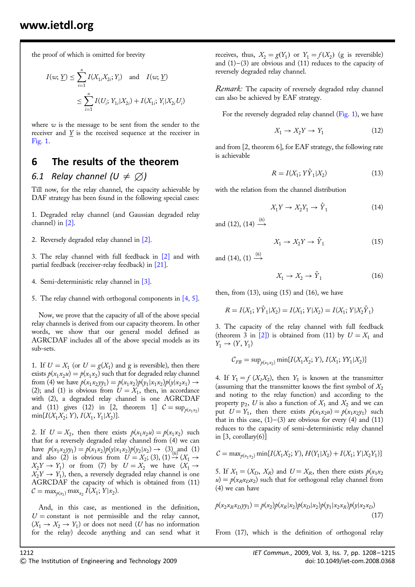the proof of which is omitted for brevity

$$
I(w; \underline{Y}) \le \sum_{i=1}^{n} I(X_{1i}X_{2i}; Y_i) \text{ and } I(w; \underline{Y})
$$
  

$$
\le \sum_{i=1}^{n} I(U_i; Y_{1i}|X_{2i}) + I(X_{1i}; Y_i|X_{2i}U_i)
$$

where  $w$  is the message to be sent from the sender to the receiver and  $Y$  is the received sequence at the receiver in Fig. 1.

## 6 The results of the theorem

## 6.1 Relay channel  $(U \neq \varnothing)$

Till now, for the relay channel, the capacity achievable by DAF strategy has been found in the following special cases:

1. Degraded relay channel (and Gaussian degraded relay channel) in [2].

2. Reversely degraded relay channel in [2].

3. The relay channel with full feedback in [2] and with partial feedback (receiver-relay feedback) in [21].

- 4. Semi-deterministic relay channel in [3].
- 5. The relay channel with orthogonal components in [4, 5].

Now, we prove that the capacity of all of the above special relay channels is derived from our capacity theorem. In other words, we show that our general model defined as AGRCDAF includes all of the above special models as its sub-sets.

1. If  $U = X_1$  (or  $U = g(X_1)$  and g is reversible), then there exists  $p(x_1x_2u) = p(x_1x_2)$  such that for degraded relay channel from (4) we have  $p(x_1x_2yy_1) = p(x_1x_2)p(y_1|x_1x_2)p(y|x_2x_1) \rightarrow$ (2); and (1) is obvious from  $U = X_1$ , then, in accordance with (2), a degraded relay channel is one AGRCDAF and (11) gives (12) in [2, theorem 1]  $C = \sup_{\phi(x_1, y_2)}$  $min\{I(X_1X_2; Y), I(X_1, Y_1|X_2)\}.$ 

2. If  $U = X_2$ , then there exists  $p(x_1x_2u) = p(x_1x_2)$  such that for a reversely degraded relay channel from (4) we can have  $p(x_1x_2yy_1) = p(x_1x_2)p(y|x_1x_2)p(y_2|x_2) \rightarrow (3)_{(6)}$  and (1) and also (2) is obvious from  $U = X_2$ ; (3), (1)  $\rightarrow$  ( $X_1 \rightarrow$  $X_2Y \to Y_1$ ) or from (7) by  $U = X_2$  we have  $(X_1 \to X_2)$  $X_2Y \rightarrow Y_1$ ), then, a reversely degraded relay channel is one AGRCDAF the capacity of which is obtained from (11)  $C = \max_{p(x_1)} \max_{x_2} I(X_1; Y | x_2).$ 

And, in this case, as mentioned in the definition,  $U =$  constant is not permissible and the relay cannot,  $(X_1 \rightarrow X_2 \rightarrow Y_1)$  or does not need (U has no information for the relay) decode anything and can send what it receives, thus,  $X_2 = g(Y_1)$  or  $Y_1 = f(X_2)$  (g is reversible) and  $(1)$ – $(3)$  are obvious and  $(11)$  reduces to the capacity of reversely degraded relay channel.

*Remark:* The capacity of reversely degraded relay channel can also be achieved by EAF strategy.

For the reversely degraded relay channel (Fig. 1), we have

$$
X_1 \to X_2 Y \to Y_1 \tag{12}
$$

and from [2, theorem 6], for EAF strategy, the following rate is achievable

$$
R = I(X_1; Y\hat{Y}_1 | X_2)
$$
 (13)

with the relation from the channel distribution

$$
X_1 Y \to X_2 Y_1 \to \hat{Y}_1 \tag{14}
$$

and (12), (14)  $\stackrel{(6)}{\longrightarrow}$ 

$$
X_1 \to X_2 Y \to \hat{Y}_1 \tag{15}
$$

and (14), (1)  $\stackrel{(6)}{\longrightarrow}$ 

$$
X_1 \to X_2 \to \hat{Y}_1 \tag{16}
$$

then, from  $(13)$ , using  $(15)$  and  $(16)$ , we have

$$
R = I(X_1; Y\hat{Y}_1 | X_2) = I(X_1; Y | X_2) = I(X_1; Y | X_2 \hat{Y}_1)
$$

3. The capacity of the relay channel with full feedback (theorem 3 in [2]) is obtained from (11) by  $U = X_1$  and  $Y_1 \to (Y, Y_1)$ 

$$
\mathcal{C}_{FB} = \sup_{p(x_1, x_2)} \min\{I(X_1X_2; Y), I(X_1; YY_1|X_2)\}
$$

4. If  $Y_1 = f(X_1X_2)$ , then  $Y_1$  is known at the transmitter (assuming that the transmitter knows the first symbol of  $X_2$ ) and noting to the relay function) and according to the property  $p_2$ , U is also a function of  $X_1$  and  $X_2$  and we can put  $U = Y_1$ , then there exists  $p(x_1x_2u) = p(x_1x_2y_1)$  such that in this case,  $(1)$ – $(3)$  are obvious for every  $(4)$  and  $(11)$ reduces to the capacity of semi-deterministic relay channel in [3, corollary(6)]

$$
C = \max_{p(x_1, x_2)} \min\{I(X_1X_2; Y), H(Y_1|X_2) + I(X_1; Y|X_2Y_1)\}
$$

5. If  $X_1 = (X_D, X_R)$  and  $U = X_R$ , then there exists  $p(x_1x_2)$  $u = p(x_Rx_Dx_2)$  such that for orthogonal relay channel from (4) we can have

$$
p(x_2x_Rx_Dyy_1) = p(x_2)p(x_R|x_2)p(x_D|x_2)p(y_1|x_2x_R)p(y|x_2x_D)
$$
\n(17)

From (17), which is the definition of orthogonal relay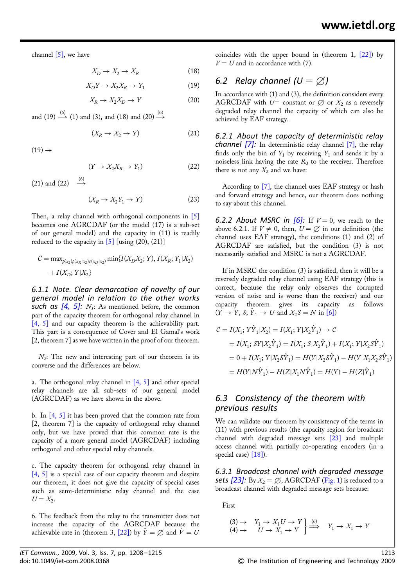channel  $[5]$ , we have

$$
X_D \to X_2 \to X_R \tag{18}
$$

$$
X_D Y \to X_2 X_R \to Y_1 \tag{19}
$$

$$
X_R \to X_2 X_D \to Y \tag{20}
$$

and (19)  $\stackrel{(6)}{\longrightarrow}$  (1) and (3), and (18) and (20)  $\stackrel{(6)}{\longrightarrow}$ 

$$
(X_R \to X_2 \to Y) \tag{21}
$$

 $(19) \rightarrow$ 

$$
(Y \to X_2 X_R \to Y_1) \tag{22}
$$

(21) and (22)  $\rightarrow \rightarrow$ 

$$
(X_R \to X_2 Y_1 \to Y) \tag{23}
$$

Then, a relay channel with orthogonal components in [5] becomes one AGRCDAF (or the model (17) is a sub-set of our general model) and the capacity in (11) is readily reduced to the capacity in  $\boxed{5}$  [using (20), (21)]

$$
C = \max_{p(x_2)p(x_R|x_2)p(x_D|x_2)} \min\{I(X_D X_2; Y), I(X_R; Y_1 | X_2) + I(X_D; Y | X_2)\}
$$

6.1.1 Note. Clear demarcation of novelty of our general model in relation to the other works such as  $[4, 5]$ :  $N_i$ : As mentioned before, the common part of the capacity theorem for orthogonal relay channel in [4, 5] and our capacity theorem is the achievability part. This part is a consequence of Cover and El Gamal's work [2, theorem 7] as we have written in the proof of our theorem.

 $N_2$ : The new and interesting part of our theorem is its converse and the differences are below.

a. The orthogonal relay channel in [4, 5] and other special relay channels are all sub-sets of our general model (AGRCDAF) as we have shown in the above.

b. In  $[4, 5]$  it has been proved that the common rate from [2, theorem 7] is the capacity of orthogonal relay channel only, but we have proved that this common rate is the capacity of a more general model (AGRCDAF) including orthogonal and other special relay channels.

c. The capacity theorem for orthogonal relay channel in [4, 5] is a special case of our capacity theorem and despite our theorem, it does not give the capacity of special cases such as semi-deterministic relay channel and the case  $U = X_2$ .

6. The feedback from the relay to the transmitter does not increase the capacity of the AGRCDAF because the achievable rate in (theorem 3, [22]) by  $\hat{Y} = \emptyset$  and  $\hat{V} = U$ 

coincides with the upper bound in (theorem 1,  $[22]$ ) by  $V = U$  and in accordance with (7).

## 6.2 Relay channel  $(U = \varnothing)$

In accordance with (1) and (3), the definition considers every AGRCDAF with  $U=$  constant or  $\emptyset$  or  $X_2$  as a reversely degraded relay channel the capacity of which can also be achieved by EAF strategy.

6.2.1 About the capacity of deterministic relay **channel [7]:** In deterministic relay channel  $[7]$ , the relay finds only the bin of  $Y_1$  by receiving  $Y_1$  and sends it by a noiseless link having the rate  $R_0$  to the receiver. Therefore there is not any  $X_2$  and we have:

According to [7], the channel uses EAF strategy or hash and forward strategy and hence, our theorem does nothing to say about this channel.

6.2.2 About MSRC in  $[6]$ : If  $V = 0$ , we reach to the above 6.2.1. If  $V \neq 0$ , then,  $U = \emptyset$  in our definition (the channel uses EAF strategy), the conditions (1) and (2) of AGRCDAF are satisfied, but the condition (3) is not necessarily satisfied and MSRC is not a AGRCDAF.

If in MSRC the condition (3) is satisfied, then it will be a reversely degraded relay channel using EAF strategy (this is correct, because the relay only observes the corrupted version of noise and is worse than the receiver) and our capacity theorem gives its capacity as follows  $(Y \rightarrow Y, S; \hat{Y}_1 \rightarrow U$  and  $X_2S = N$  in [6])

$$
C = I(X_1; Y\hat{Y}_1 | X_2) = I(X_1; Y | X_2\hat{Y}_1) \to C
$$
  
=  $I(X_1; SY | X_2\hat{Y}_1) = I(X_1; S | X_2\hat{Y}_1) + I(X_1; Y | X_2S\hat{Y}_1)$   
=  $0 + I(X_1; Y | X_2S\hat{Y}_1) = H(Y | X_2S\hat{Y}_1) - H(Y | X_1X_2S\hat{Y}_1)$   
=  $H(Y | N\hat{Y}_1) - H(Z | X_1N\hat{Y}_1) = H(Y) - H(Z | \hat{Y}_1)$ 

#### 6.3 Consistency of the theorem with previous results

We can validate our theorem by consistency of the terms in (11) with previous results (the capacity region for broadcast channel with degraded message sets [23] and multiple access channel with partially co-operating encoders (in a special case) [18]).

6.3.1 Broadcast channel with degraded message sets  $[23]$ : By  $X_2 = \emptyset$ , AGRCDAF (Fig. 1) is reduced to a broadcast channel with degraded message sets because:

First

$$
\begin{array}{ccc} (3) \rightarrow & Y_1 \rightarrow X_1 U \rightarrow Y \\ (4) \rightarrow & U \rightarrow X_1 \rightarrow Y \end{array} \bigg] \stackrel{(6)}{\Longrightarrow} \quad Y_1 \rightarrow X_1 \rightarrow Y
$$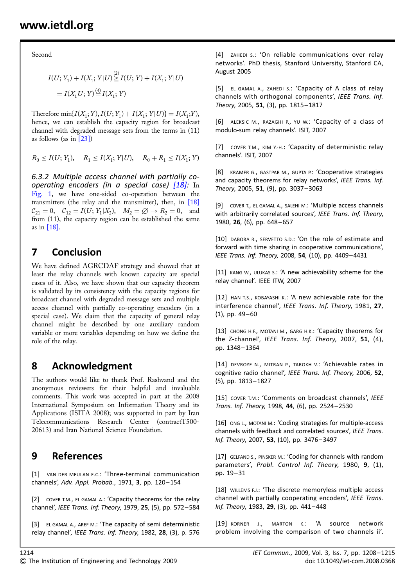Second

$$
I(U; Y_1) + I(X_1; Y|U) \stackrel{(2)}{\geq} I(U; Y) + I(X_1; Y|U)
$$
  
=  $I(X_1U; Y) \stackrel{(4)}{=} I(X_1; Y)$ 

Therefore min $\{I(X_1; Y), I(U; Y_1) + I(X_1; Y | U)\} = I(X_1; Y),$ hence, we can establish the capacity region for broadcast channel with degraded message sets from the terms in (11) as follows (as in  $\lceil 23 \rceil$ )

 $R_0 \le I(U; Y_1), \quad R_1 \le I(X_1; Y | U), \quad R_0 + R_1 \le I(X_1; Y)$ 

6.3.2 Multiple access channel with partially cooperating encoders (in a special case)  $[18]$ : In Fig. 1, we have one-sided co-operation between the transmitters (the relay and the transmitter), then, in [18]  $C_{21} = 0$ ,  $C_{12} = I(U; Y_1 | X_2)$ ,  $M_2 = \emptyset \rightarrow R_2 = 0$ , and from (11), the capacity region can be established the same as in [18].

# 7 Conclusion

We have defined AGRCDAF strategy and showed that at least the relay channels with known capacity are special cases of it. Also, we have shown that our capacity theorem is validated by its consistency with the capacity regions for broadcast channel with degraded message sets and multiple access channel with partially co-operating encoders (in a special case). We claim that the capacity of general relay channel might be described by one auxiliary random variable or more variables depending on how we define the role of the relay.

# 8 Acknowledgment

The authors would like to thank Prof. Rashvand and the anonymous reviewers for their helpful and invaluable comments. This work was accepted in part at the 2008 International Symposium on Information Theory and its Applications (ISITA 2008); was supported in part by Iran Telecommunications Research Center (contractT500- 20613) and Iran National Science Foundation.

# 9 References

[1] VAN DER MEULAN E.C.: 'Three-terminal communication channels', Adv. Appl. Probab., 1971, 3, pp. 120-154

[2] COVER T.M., EL GAMAL A.: 'Capacity theorems for the relay channel', IEEE Trans. Inf. Theory, 1979, 25, (5), pp. 572– 584

[3] EL GAMAL A., AREF M.: 'The capacity of semi deterministic relay channel', IEEE Trans. Inf. Theory, 1982, 28, (3), p. 576

[4] ZAHEDI S.: 'On reliable communications over relay networks'. PhD thesis, Stanford University, Stanford CA, August 2005

[5] EL GAMAL A., ZAHEDI S.: 'Capacity of A class of relay channels with orthogonal components', IEEE Trans. Inf. Theory, 2005, 51, (3), pp. 1815-1817

[6] ALEKSIC M., RAZAGHI P., YU W.: 'Capacity of a class of modulo-sum relay channels'. ISIT, 2007

[7] COVER T.M., KIM Y.-H.: 'Capacity of deterministic relay channels'. ISIT, 2007

[8] KRAMER G., GASTPAR M., GUPTA P.: 'Cooperative strategies and capacity theorems for relay networks', IEEE Trans. Inf. Theory, 2005, 51, (9), pp. 3037– 3063

[9] COVER T., EL GAMAL A., SALEHI M.: 'Multiple access channels with arbitrarily correlated sources', IEEE Trans. Inf. Theory, 1980, 26, (6), pp. 648-657

[10] DABORA R., SERVETTO S.D.: 'On the role of estimate and forward with time sharing in cooperative communications', IEEE Trans. Inf. Theory, 2008, 54, (10), pp. 4409–4431

[11] KANG W., ULUKAS S.: 'A new achievability scheme for the relay channel'. IEEE ITW, 2007

[12] HAN T.S., KOBAYASHI K.: 'A new achievable rate for the interference channel', IEEE Trans. Inf. Theory, 1981, 27,  $(1)$ , pp. 49-60

[13] CHONG H.F., MOTANI M., GARG H.K.: 'Capacity theorems for the Z-channel', IEEE Trans. Inf. Theory, 2007, 51, (4), pp. 1348– 1364

[14] DEVROYE N., MITRAN P., TAROKH V.: 'Achievable rates in cognitive radio channel', IEEE Trans. Inf. Theory, 2006, 52, (5), pp. 1813– 1827

[15] COVER T.M.: 'Comments on broadcast channels', IEEE Trans. Inf. Theory, 1998, 44, (6), pp. 2524– 2530

[16] ONG L., MOTANI M.: 'Coding strategies for multiple-access channels with feedback and correlated sources', IEEE Trans. Inf. Theory, 2007, 53, (10), pp. 3476-3497

[17] GELFAND S., PINSKER M.: 'Coding for channels with random parameters', Probl. Control Inf. Theory, 1980, 9, (1), pp. 19– 31

[18] WILLEMS F.J.: 'The discrete memoryless multiple access channel with partially cooperating encoders', IEEE Trans. Inf. Theory, 1983, 29, (3), pp. 441-448

[19] KORNER J., MARTON K.: 'A source network problem involving the comparison of two channels ii'.